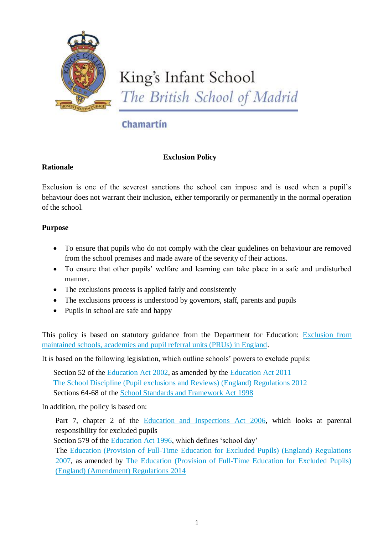

King's Infant School The British School of Madrid

# Chamartin

# **Exclusion Policy**

## **Rationale**

Exclusion is one of the severest sanctions the school can impose and is used when a pupil's behaviour does not warrant their inclusion, either temporarily or permanently in the normal operation of the school.

## **Purpose**

- To ensure that pupils who do not comply with the clear guidelines on behaviour are removed from the school premises and made aware of the severity of their actions.
- To ensure that other pupils' welfare and learning can take place in a safe and undisturbed manner.
- The exclusions process is applied fairly and consistently
- The exclusions process is understood by governors, staff, parents and pupils
- Pupils in school are safe and happy

This policy is based on statutory guidance from the Department for Education: [Exclusion from](https://www.gov.uk/government/publications/school-exclusion)  [maintained schools, academies and pupil referral units \(PRUs\) in England.](https://www.gov.uk/government/publications/school-exclusion)

It is based on the following legislation, which outline schools' powers to exclude pupils:

Section 52 of the [Education Act 2002,](http://www.legislation.gov.uk/ukpga/2002/32/section/52) as amended by the [Education Act 2011](http://www.legislation.gov.uk/ukpga/2011/21/contents/enacted) [The School Discipline \(Pupil exclusions and Reviews\) \(England\) Regulations 2012](http://www.legislation.gov.uk/uksi/2012/1033/made) Sections 64-68 of the [School Standards and Framework Act 1998](http://www.legislation.gov.uk/ukpga/1998/31)

In addition, the policy is based on:

Part 7, chapter 2 of the [Education and Inspections Act 2006,](http://www.legislation.gov.uk/ukpga/2006/40/part/7/chapter/2) which looks at parental responsibility for excluded pupils

Section 579 of the [Education Act 1996,](http://www.legislation.gov.uk/ukpga/1996/56/section/579) which defines 'school day'

The [Education \(Provision of Full-Time Education for Excluded Pupils\) \(England\) Regulations](http://www.legislation.gov.uk/uksi/2007/1870/contents/made)  [2007,](http://www.legislation.gov.uk/uksi/2007/1870/contents/made) as amended by [The Education \(Provision of Full-Time Education for Excluded Pupils\)](http://www.legislation.gov.uk/uksi/2014/3216/contents/made)  [\(England\) \(Amendment\) Regulations 2014](http://www.legislation.gov.uk/uksi/2014/3216/contents/made)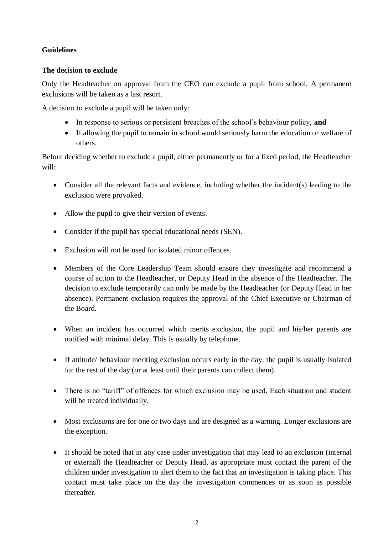## **Guidelines**

## **The decision to exclude**

Only the Headteacher on approval from the CEO can exclude a pupil from school. A permanent exclusions will be taken as a last resort.

A decision to exclude a pupil will be taken only:

- In response to serious or persistent breaches of the school's behaviour policy, **and**
- If allowing the pupil to remain in school would seriously harm the education or welfare of others.

Before deciding whether to exclude a pupil, either permanently or for a fixed period, the Headteacher will:

- Consider all the relevant facts and evidence, including whether the incident(s) leading to the exclusion were provoked.
- Allow the pupil to give their version of events.
- Consider if the pupil has special educational needs (SEN).
- Exclusion will not be used for isolated minor offences.
- Members of the Core Leadership Team should ensure they investigate and recommend a course of action to the Headteacher, or Deputy Head in the absence of the Headteacher. The decision to exclude temporarily can only be made by the Headteacher (or Deputy Head in her absence). Permanent exclusion requires the approval of the Chief Executive or Chairman of the Board.
- When an incident has occurred which merits exclusion, the pupil and his/her parents are notified with minimal delay. This is usually by telephone.
- If attitude/ behaviour meriting exclusion occurs early in the day, the pupil is usually isolated for the rest of the day (or at least until their parents can collect them).
- There is no "tariff" of offences for which exclusion may be used. Each situation and student will be treated individually.
- Most exclusions are for one or two days and are designed as a warning. Longer exclusions are the exception.
- It should be noted that in any case under investigation that may lead to an exclusion (internal or external) the Headteacher or Deputy Head, as appropriate must contact the parent of the children under investigation to alert them to the fact that an investigation is taking place. This contact must take place on the day the investigation commences or as soon as possible thereafter.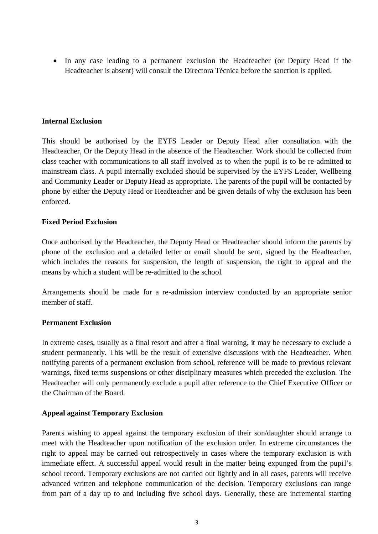In any case leading to a permanent exclusion the Headteacher (or Deputy Head if the Headteacher is absent) will consult the Directora Técnica before the sanction is applied.

#### **Internal Exclusion**

This should be authorised by the EYFS Leader or Deputy Head after consultation with the Headteacher, Or the Deputy Head in the absence of the Headteacher. Work should be collected from class teacher with communications to all staff involved as to when the pupil is to be re-admitted to mainstream class. A pupil internally excluded should be supervised by the EYFS Leader, Wellbeing and Community Leader or Deputy Head as appropriate. The parents of the pupil will be contacted by phone by either the Deputy Head or Headteacher and be given details of why the exclusion has been enforced.

#### **Fixed Period Exclusion**

Once authorised by the Headteacher, the Deputy Head or Headteacher should inform the parents by phone of the exclusion and a detailed letter or email should be sent, signed by the Headteacher, which includes the reasons for suspension, the length of suspension, the right to appeal and the means by which a student will be re-admitted to the school.

Arrangements should be made for a re-admission interview conducted by an appropriate senior member of staff.

#### **Permanent Exclusion**

In extreme cases, usually as a final resort and after a final warning, it may be necessary to exclude a student permanently. This will be the result of extensive discussions with the Headteacher. When notifying parents of a permanent exclusion from school, reference will be made to previous relevant warnings, fixed terms suspensions or other disciplinary measures which preceded the exclusion. The Headteacher will only permanently exclude a pupil after reference to the Chief Executive Officer or the Chairman of the Board.

#### **Appeal against Temporary Exclusion**

Parents wishing to appeal against the temporary exclusion of their son/daughter should arrange to meet with the Headteacher upon notification of the exclusion order. In extreme circumstances the right to appeal may be carried out retrospectively in cases where the temporary exclusion is with immediate effect. A successful appeal would result in the matter being expunged from the pupil's school record. Temporary exclusions are not carried out lightly and in all cases, parents will receive advanced written and telephone communication of the decision. Temporary exclusions can range from part of a day up to and including five school days. Generally, these are incremental starting